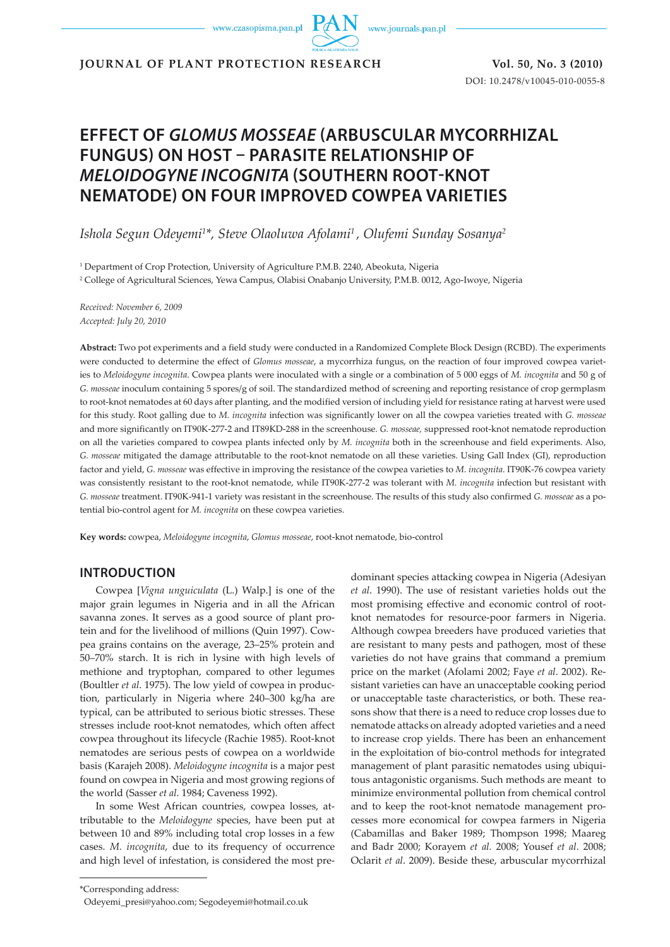www.czasopisma.pan.pl

www.journals.pan.pl

**JOURNAL OF PLANT PROTECTION RESEARCH Vol. 50, No. 3 (2010)**

DOI: 10.2478/v10045-010-0055-8

# **EFFECT OF** *GLOMUS MOSSEAE* **(ARBUSCULAR MYCORRHIZAL FUNGUS) ON HOST – PARASITE RELATIONSHIP OF**  *MELOIDOGYNE INCOGNITA* **(SOUTHERN ROOT-KNOT NEMATODE) ON FOUR IMPROVED COWPEA VARIETIES**

*Ishola Segun Odeyemi1 \*, Steve Olaoluwa Afolami1 , Olufemi Sunday Sosanya2*

1 Department of Crop Protection, University of Agriculture P.M.B. 2240, Abeokuta, Nigeria

2 College of Agricultural Sciences, Yewa Campus, Olabisi Onabanjo University, P.M.B. 0012, Ago-Iwoye, Nigeria

*Received: November 6, 2009 Accepted: July 20, 2010*

**Abstract:** Two pot experiments and a field study were conducted in a Randomized Complete Block Design (RCBD). The experiments were conducted to determine the effect of *Glomus mosseae*, a mycorrhiza fungus, on the reaction of four improved cowpea varieties to *Meloidogyne incognita*. Cowpea plants were inoculated with a single or a combination of 5 000 eggs of *M. incognita* and 50 g of *G. mosseae* inoculum containing 5 spores/g of soil. The standardized method of screening and reporting resistance of crop germplasm to root-knot nematodes at 60 days after planting, and the modified version of including yield for resistance rating at harvest were used for this study. Root galling due to *M. incognita* infection was significantly lower on all the cowpea varieties treated with *G. mosseae* and more significantly on IT90K-277-2 and IT89KD-288 in the screenhouse. *G. mosseae,* suppressed root-knot nematode reproduction on all the varieties compared to cowpea plants infected only by *M. incognita* both in the screenhouse and field experiments. Also, *G. mosseae* mitigated the damage attributable to the root-knot nematode on all these varieties. Using Gall Index (GI), reproduction factor and yield, *G. mosseae* was effective in improving the resistance of the cowpea varieties to *M. incognita*. IT90K-76 cowpea variety was consistently resistant to the root-knot nematode, while IT90K-277-2 was tolerant with *M. incognita* infection but resistant with *G. mosseae* treatment. IT90K-941-1 variety was resistant in the screenhouse. The results of this study also confirmed *G. mosseae* as a potential bio-control agent for *M. incognita* on these cowpea varieties.

**Key words:** cowpea, *Meloidogyne incognita*, *Glomus mosseae*, root-knot nematode, bio-control

# **INTRODUCTION**

Cowpea [*Vigna unguiculata* (L.) Walp.] is one of the major grain legumes in Nigeria and in all the African savanna zones. It serves as a good source of plant protein and for the livelihood of millions (Quin 1997). Cowpea grains contains on the average, 23–25% protein and 50–70% starch. It is rich in lysine with high levels of methione and tryptophan, compared to other legumes (Boultler *et al*. 1975). The low yield of cowpea in production, particularly in Nigeria where 240–300 kg/ha are typical, can be attributed to serious biotic stresses. These stresses include root-knot nematodes, which often affect cowpea throughout its lifecycle (Rachie 1985). Root-knot nematodes are serious pests of cowpea on a worldwide basis (Karajeh 2008). *Meloidogyne incognita* is a major pest found on cowpea in Nigeria and most growing regions of the world (Sasser *et al*. 1984; Caveness 1992).

In some West African countries, cowpea losses, attributable to the *Meloidogyne* species, have been put at between 10 and 89% including total crop losses in a few cases. *M. incognita*, due to its frequency of occurrence and high level of infestation, is considered the most predominant species attacking cowpea in Nigeria (Adesiyan *et al*. 1990). The use of resistant varieties holds out the most promising effective and economic control of rootknot nematodes for resource-poor farmers in Nigeria. Although cowpea breeders have produced varieties that are resistant to many pests and pathogen, most of these varieties do not have grains that command a premium price on the market (Afolami 2002; Faye *et al*. 2002). Resistant varieties can have an unacceptable cooking period or unacceptable taste characteristics, or both. These reasons show that there is a need to reduce crop losses due to nematode attacks on already adopted varieties and a need to increase crop yields. There has been an enhancement in the exploitation of bio-control methods for integrated management of plant parasitic nematodes using ubiquitous antagonistic organisms. Such methods are meant to minimize environmental pollution from chemical control and to keep the root-knot nematode management processes more economical for cowpea farmers in Nigeria (Cabamillas and Baker 1989; Thompson 1998; Maareg and Badr 2000; Korayem *et al.* 2008; Yousef *et al*. 2008; Oclarit *et al*. 2009). Beside these, arbuscular mycorrhizal

<sup>\*</sup>Corresponding address:

Odeyemi\_presi@yahoo.com; Segodeyemi@hotmail.co.uk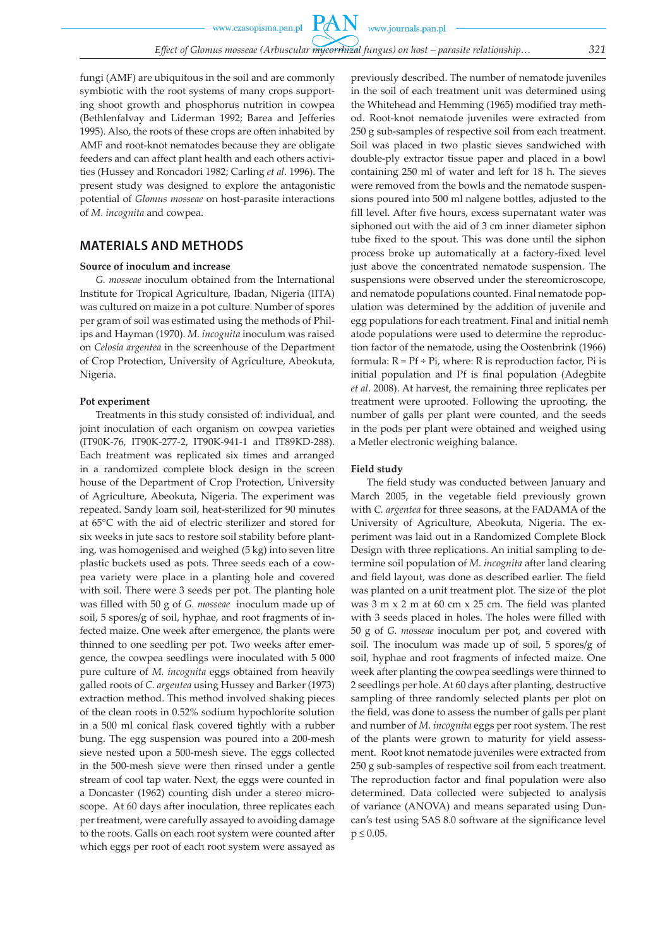**PAN** 

fungi (AMF) are ubiquitous in the soil and are commonly symbiotic with the root systems of many crops supporting shoot growth and phosphorus nutrition in cowpea (Bethlenfalvay and Liderman 1992; Barea and Jefferies 1995). Also, the roots of these crops are often inhabited by AMF and root-knot nematodes because they are obligate feeders and can affect plant health and each others activities (Hussey and Roncadori 1982; Carling *et al*. 1996). The present study was designed to explore the antagonistic potential of *Glomus mosseae* on host-parasite interactions of *M. incognita* and cowpea.

### **MATERIALS AND METHODS**

#### **Source of inoculum and increase**

*G. mosseae* inoculum obtained from the International Institute for Tropical Agriculture, Ibadan, Nigeria (IITA) was cultured on maize in a pot culture. Number of spores per gram of soil was estimated using the methods of Philips and Hayman (1970). *M. incognita* inoculum was raised on *Celosia argentea* in the screenhouse of the Department of Crop Protection, University of Agriculture, Abeokuta, Nigeria.

### **Pot experiment**

Treatments in this study consisted of: individual, and joint inoculation of each organism on cowpea varieties (IT90K-76, IT90K-277-2, IT90K-941-1 and IT89KD-288). Each treatment was replicated six times and arranged in a randomized complete block design in the screen house of the Department of Crop Protection, University of Agriculture, Abeokuta, Nigeria. The experiment was repeated. Sandy loam soil, heat-sterilized for 90 minutes at 65°C with the aid of electric sterilizer and stored for six weeks in jute sacs to restore soil stability before planting, was homogenised and weighed (5 kg) into seven litre plastic buckets used as pots. Three seeds each of a cowpea variety were place in a planting hole and covered with soil. There were 3 seeds per pot. The planting hole was filled with 50 g of *G. mosseae* inoculum made up of soil, 5 spores/g of soil, hyphae, and root fragments of infected maize. One week after emergence, the plants were thinned to one seedling per pot. Two weeks after emergence, the cowpea seedlings were inoculated with 5 000 pure culture of *M. incognita* eggs obtained from heavily galled roots of *C. argentea* using Hussey and Barker (1973) extraction method. This method involved shaking pieces of the clean roots in 0.52% sodium hypochlorite solution in a 500 ml conical flask covered tightly with a rubber bung. The egg suspension was poured into a 200-mesh sieve nested upon a 500-mesh sieve. The eggs collected in the 500-mesh sieve were then rinsed under a gentle stream of cool tap water. Next, the eggs were counted in a Doncaster (1962) counting dish under a stereo microscope. At 60 days after inoculation, three replicates each per treatment, were carefully assayed to avoiding damage to the roots. Galls on each root system were counted after which eggs per root of each root system were assayed as previously described. The number of nematode juveniles in the soil of each treatment unit was determined using the Whitehead and Hemming (1965) modified tray method. Root-knot nematode juveniles were extracted from 250 g sub-samples of respective soil from each treatment. Soil was placed in two plastic sieves sandwiched with double-ply extractor tissue paper and placed in a bowl containing 250 ml of water and left for 18 h. The sieves were removed from the bowls and the nematode suspensions poured into 500 ml nalgene bottles, adjusted to the fill level. After five hours, excess supernatant water was siphoned out with the aid of 3 cm inner diameter siphon tube fixed to the spout. This was done until the siphon process broke up automatically at a factory-fixed level just above the concentrated nematode suspension. The suspensions were observed under the stereomicroscope, and nematode populations counted. Final nematode population was determined by the addition of juvenile and egg populations for each treatment. Final and initial nemh atode populations were used to determine the reproduction factor of the nematode, using the Oostenbrink (1966) formula:  $R = Pf \div Pi$ , where:  $R$  is reproduction factor,  $Pi$  is initial population and Pf is final population (Adegbite *et al*. 2008). At harvest, the remaining three replicates per treatment were uprooted. Following the uprooting, the number of galls per plant were counted, and the seeds in the pods per plant were obtained and weighed using a Metler electronic weighing balance.

### **Field study**

The field study was conducted between January and March 2005, in the vegetable field previously grown with *C. argentea* for three seasons, at the FADAMA of the University of Agriculture, Abeokuta, Nigeria. The experiment was laid out in a Randomized Complete Block Design with three replications. An initial sampling to determine soil population of *M. incognita* after land clearing and field layout, was done as described earlier. The field was planted on a unit treatment plot. The size of the plot was 3 m x 2 m at 60 cm x 25 cm. The field was planted with 3 seeds placed in holes. The holes were filled with 50 g of *G. mosseae* inoculum per pot, and covered with soil. The inoculum was made up of soil, 5 spores/g of soil, hyphae and root fragments of infected maize. One week after planting the cowpea seedlings were thinned to 2 seedlings per hole. At 60 days after planting, destructive sampling of three randomly selected plants per plot on the field, was done to assess the number of galls per plant and number of *M. incognita* eggs per root system. The rest of the plants were grown to maturity for yield assessment. Root knot nematode juveniles were extracted from 250 g sub-samples of respective soil from each treatment. The reproduction factor and final population were also determined. Data collected were subjected to analysis of variance (ANOVA) and means separated using Duncan's test using SAS 8.0 software at the significance level  $p \le 0.05$ .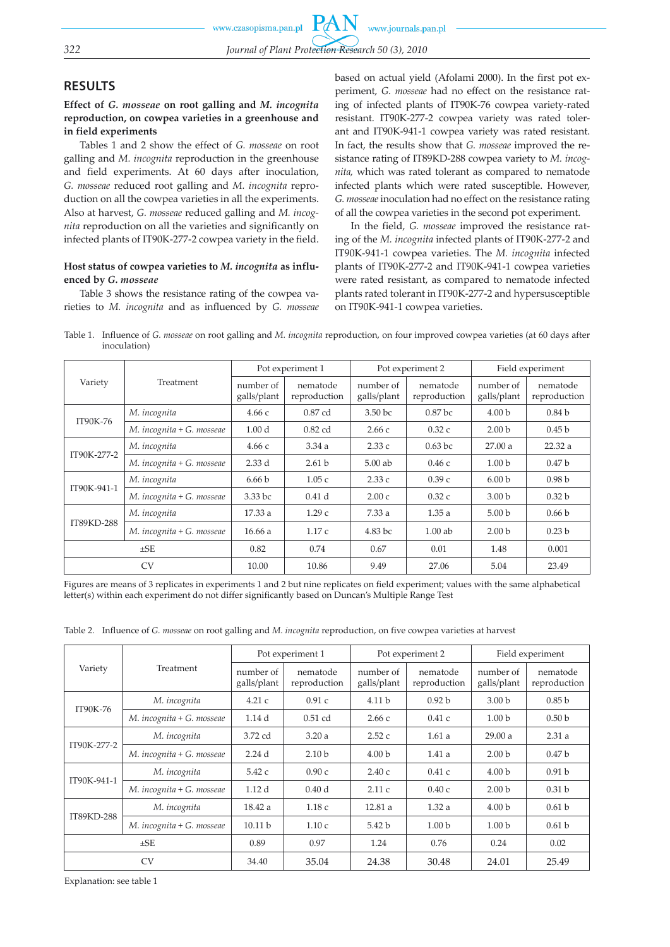# **RESULTS**

**Effect of** *G. mosseae* **on root galling and** *M. incognita* **reproduction, on cowpea varieties in a greenhouse and in field experiments**

Tables 1 and 2 show the effect of *G. mosseae* on root galling and *M. incognita* reproduction in the greenhouse and field experiments. At 60 days after inoculation, *G. mosseae* reduced root galling and *M. incognita* reproduction on all the cowpea varieties in all the experiments. Also at harvest, *G. mosseae* reduced galling and *M. incognita* reproduction on all the varieties and significantly on infected plants of IT90K-277-2 cowpea variety in the field.

### **Host status of cowpea varieties to** *M. incognita* **as influenced by** *G. mosseae*

Table 3 shows the resistance rating of the cowpea varieties to *M. incognita* and as influenced by *G. mosseae* based on actual yield (Afolami 2000). In the first pot experiment, *G. mosseae* had no effect on the resistance rating of infected plants of IT90K-76 cowpea variety-rated resistant. IT90K-277-2 cowpea variety was rated tolerant and IT90K-941-1 cowpea variety was rated resistant. In fact, the results show that *G. mosseae* improved the resistance rating of IT89KD-288 cowpea variety to *M. incognita,* which was rated tolerant as compared to nematode infected plants which were rated susceptible. However, *G. mosseae* inoculation had no effect on the resistance rating of all the cowpea varieties in the second pot experiment.

In the field, *G. mosseae* improved the resistance rating of the *M. incognita* infected plants of IT90K-277-2 and IT90K-941-1 cowpea varieties. The *M. incognita* infected plants of IT90K-277-2 and IT90K-941-1 cowpea varieties were rated resistant, as compared to nematode infected plants rated tolerant in IT90K-277-2 and hypersusceptible on IT90K-941-1 cowpea varieties.

Table 1. Influence of *G. mosseae* on root galling and *M. incognita* reproduction, on four improved cowpea varieties (at 60 days after inoculation)

|             |                           | Pot experiment 1         |                          |                          | Pot experiment 2         | Field experiment         |                          |  |
|-------------|---------------------------|--------------------------|--------------------------|--------------------------|--------------------------|--------------------------|--------------------------|--|
| Variety     | Treatment                 | number of<br>galls/plant | nematode<br>reproduction | number of<br>galls/plant | nematode<br>reproduction | number of<br>galls/plant | nematode<br>reproduction |  |
| IT90K-76    | M. incognita              | 4.66c                    | 0.87 cd                  | 3.50 bc                  | 0.87 <sub>bc</sub>       | 4.00 <sub>b</sub>        | 0.84 <sub>b</sub>        |  |
|             | M. incognita + G. mosseae | 1.00 <sub>d</sub>        | $0.82$ cd                | 2.66c                    | 0.32c                    | 2.00 <sub>b</sub>        | 0.45 <sub>b</sub>        |  |
|             | M. incognita              | 4.66c                    | 3.34a                    | 2.33c                    | $0.63$ bc                | 27.00a                   | 22.32a                   |  |
| IT90K-277-2 | M. incognita + G. mosseae | 2.33d                    | 2.61 <sub>b</sub>        | $5.00$ ab                | 0.46c                    | 1.00 <sub>b</sub>        | 0.47 <sub>b</sub>        |  |
| IT90K-941-1 | M. incognita              | 6.66 <sub>b</sub>        | 1.05c                    | 2.33c                    | 0.39c                    | 6.00 <sub>b</sub>        | 0.98 <sub>b</sub>        |  |
|             | M. incognita + G. mosseae | 3.33 bc                  | 0.41 <sub>d</sub>        | 2.00c                    | 0.32c                    | 3.00 <sub>b</sub>        | 0.32 <sub>b</sub>        |  |
|             | M. incognita              | 17.33 a                  | 1.29c                    | 7.33a<br>1.35a           |                          | 5.00 <sub>b</sub>        | 0.66 <sub>b</sub>        |  |
| IT89KD-288  | M. incognita + G. mosseae | 16.66a                   | 1.17c                    | 4.83 bc                  | $1.00$ ab                | 2.00 <sub>b</sub>        | 0.23 <sub>b</sub>        |  |
| $\pm$ SE    |                           | 0.82                     | 0.74                     | 0.67                     | 0.01                     | 1.48                     | 0.001                    |  |
|             | <b>CV</b>                 | 10.00                    | 10.86                    | 9.49                     | 27.06                    | 5.04                     | 23.49                    |  |

Figures are means of 3 replicates in experiments 1 and 2 but nine replicates on field experiment; values with the same alphabetical letter(s) within each experiment do not differ significantly based on Duncan's Multiple Range Test

Table 2. Influence of *G. mosseae* on root galling and *M. incognita* reproduction, on five cowpea varieties at harvest

|             |                           | Pot experiment 1         |                          |                          | Pot experiment 2         | Field experiment         |                          |  |
|-------------|---------------------------|--------------------------|--------------------------|--------------------------|--------------------------|--------------------------|--------------------------|--|
| Variety     | Treatment                 | number of<br>galls/plant | nematode<br>reproduction | number of<br>galls/plant | nematode<br>reproduction | number of<br>galls/plant | nematode<br>reproduction |  |
| IT90K-76    | M. incognita              | 4.21c                    | 0.91c                    | 4.11 <sub>b</sub>        | 0.92 <sub>b</sub>        | 3.00 <sub>b</sub>        | 0.85 <sub>b</sub>        |  |
|             | M. incognita + G. mosseae | 1.14d                    | $0.51$ cd                | 2.66c                    | 0.41c                    | 1.00 <sub>b</sub>        | 0.50 <sub>b</sub>        |  |
| IT90K-277-2 | M. incognita              | 3.72 cd                  | 3.20a                    | 2.52c                    | 1.61a                    | 29.00a                   | 2.31a                    |  |
|             | M. incognita + G. mosseae | 2.24d                    | 2.10 <sub>b</sub>        | 4.00 <sub>b</sub>        | 1.41a                    | 2.00 <sub>b</sub>        | 0.47 <sub>b</sub>        |  |
| IT90K-941-1 | M. incognita              | 5.42c                    | 0.90c                    | 2.40c                    | 0.41c                    | 4.00 <sub>b</sub>        | 0.91 <sub>b</sub>        |  |
|             | M. incognita + G. mosseae | 1.12 <sub>d</sub>        | 0.40 <sub>d</sub>        | 2.11c                    | 0.40c                    | 2.00 <sub>b</sub>        | 0.31 <sub>b</sub>        |  |
|             | M. incognita              | 18.42 a                  | 1.18c                    | 12.81a                   | 1.32a                    | 4.00 <sub>b</sub>        | 0.61 <sub>b</sub>        |  |
| IT89KD-288  | M. incognita + G. mosseae | 10.11 <sub>b</sub>       | 1.10c                    | 5.42 b                   | 1.00 <sub>b</sub>        | 1.00 <sub>b</sub>        | 0.61 <sub>b</sub>        |  |
| $\pm$ SE    |                           | 0.89                     | 0.97                     | 1.24                     | 0.76                     | 0.24                     | 0.02                     |  |
|             | <b>CV</b>                 | 34.40                    | 35.04                    | 24.38                    | 30.48                    | 24.01                    | 25.49                    |  |

Explanation: see table 1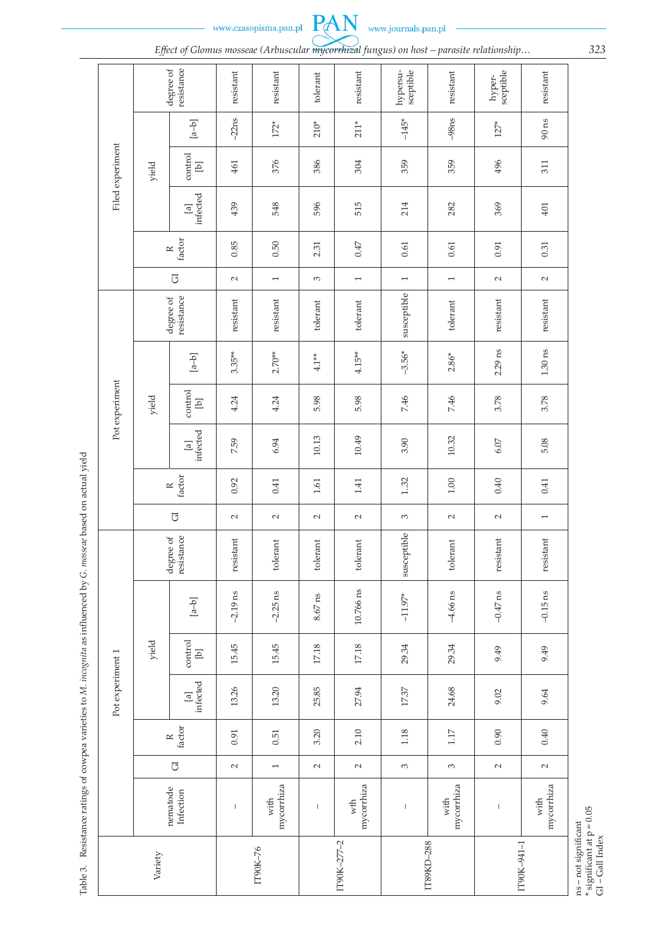www.czasopisma.pan.pl



*Effect of Glomus mosseae (Arbuscular mycorrhizal fungus) on host - parasite relationship...* 323

PAN

|  |                  | ה                                    | ↵                                                 |                          |                    | ✓           | ╯<br>$\circ$             |                       | ,                  | $\mathbf{I}$        |                          |
|--|------------------|--------------------------------------|---------------------------------------------------|--------------------------|--------------------|-------------|--------------------------|-----------------------|--------------------|---------------------|--------------------------|
|  |                  | resistance<br>degree of              |                                                   | resistant                | resistant          | tolerant    | resistant                | hypersu-<br>sceptible | resistant          | sceptible<br>hyper- | resistant                |
|  |                  | yield                                | $[a-b]$                                           | $-22ns$                  | $172*$             | $210*$      | $211*$                   | $-145*$               | $-98$ ns           | $127*$              | $90 \text{ ns}$          |
|  | Filed experiment |                                      | control<br>$\begin{bmatrix} 1 \\ 0 \end{bmatrix}$ | 461                      | 376                | 386         | 304                      | 359                   | 359                | 496                 | 311                      |
|  |                  |                                      | infected<br>$\boxed{a}$                           | 439                      | 548                | 596         | 515                      | 214                   | 282                | 369                 | $401$                    |
|  |                  | factor<br>$\simeq$                   |                                                   | 0.85                     | 0.50               | 2.31        | $C + 0$                  | $0.61\,$              | 0.61               | 0.91                | 0.31                     |
|  |                  | $\overline{G}$                       |                                                   | $\sim$                   | $\overline{ }$     | 3           | $\overline{\phantom{0}}$ | $\overline{ }$        | $\overline{ }$     | $\sim$              | $\sim$                   |
|  |                  | resistance<br>degree of              |                                                   | resistant                | resistant          | tolerant    | tolerant                 | susceptible           | tolerant           | resistant           | resistant                |
|  |                  | yield                                | $\begin{bmatrix} a-b \end{bmatrix}$               | $3.35**$                 | $2.70**$           | $4.1**$     | $4.15**$                 | $-3.56*$              | $2.86*$            | $2.29$ ns           | $1.30 \text{ ns}$        |
|  | Pot experiment   |                                      | control<br>$\boxed{d}$                            | 4.24                     | 4.24               | 5.98        | 5.98                     | 7.46                  | 7.46               | 3.78                | 3.78                     |
|  |                  |                                      | infected<br>$\boxed{a}$                           | 7.59                     | 6.94               | 10.13       | 10.49                    | 3.90                  | 10.32              | $6.07$              | 5.08                     |
|  |                  | factor<br>$\approx$                  |                                                   | 0.92                     | 0.41               | $1.61\,$    | 1.41                     | 132                   | $1.00\,$           | 0.40                | 0.41                     |
|  |                  | $\overline{G}$                       |                                                   | $\sim$                   | $\sim$             | $\sim$      | $\sim$                   | 3                     | $\sim$             | $\sim$              | $\overline{\phantom{0}}$ |
|  |                  | degree of<br>resistance              |                                                   | resistant                | tolerant           | $to$ lerant | tolerant                 | susceptible           | tolerant           | resistant           | resistant                |
|  |                  | yield                                | $\left[a{-}b\right]$                              | $-2.19$ ns               | $-2.25$ ns         | $8.67$ ns   | 10.766 ns                | $-11.97*$             | $-4.66$ ns         | $-0.47$ ns          | $-0.15$ ns               |
|  |                  |                                      | control<br>$\boxed{d}$                            | 15.45                    | 15.45              | $17.18\,$   | $17.18\,$                | 29.34                 | 29.34              | 9.49                | 9.49                     |
|  | Pot experiment 1 |                                      | infected<br>$\boxed{a}$                           | 13.26                    | 13.20              | 25.85       | 27.94                    | 17.37                 | 24.68              | 9.02                | 9.64                     |
|  |                  | $\operatorname{factor}$<br>$\approx$ |                                                   | 0.91                     | 0.51               | 3.20        | 2.10                     | 1.18                  | 1.17               | 0.90                | 0.40                     |
|  |                  | $\overline{\text{C}}$                |                                                   | $\sim$                   | $\overline{ }$     | $\sim$      | $\sim$                   | 3                     | 3                  | $\sim$              | $\sim$                   |
|  |                  |                                      | nematode<br>Infection                             | $\overline{\phantom{a}}$ | mycorrhiza<br>with | $\mathsf I$ | mycorrhiza<br>wth        | $\mathsf I$           | mycorrhiza<br>with | $\mathsf I$         | mycorrhiza<br>with       |
|  | Variety          |                                      |                                                   | IT90K-76                 | IT90K-277-2        |             | IT89KD-288               |                       | IT90K-941-1        |                     |                          |

Table 3. Resistance ratings of cowpea varieties to M. incognita as influenced by G. mosseae based on actual yield Table 3. Resistance ratings of cowpea varieties to *M. incognita* as influenced by *G. mosseae* based on actual yield

ns – not significant<br>\* significant at p = 0.05<br>GI – Gall Index \* significant at p = 0.05 ns – not significant

GI – Gall Index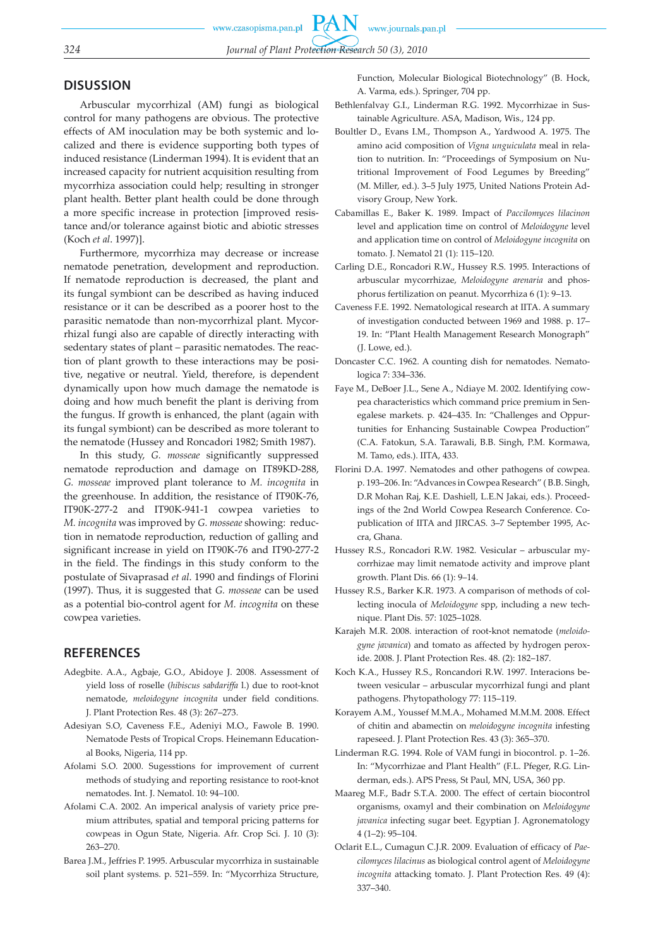# **DISUSSION**

Arbuscular mycorrhizal (AM) fungi as biological control for many pathogens are obvious. The protective effects of AM inoculation may be both systemic and localized and there is evidence supporting both types of induced resistance (Linderman 1994). It is evident that an increased capacity for nutrient acquisition resulting from mycorrhiza association could help; resulting in stronger plant health. Better plant health could be done through a more specific increase in protection [improved resistance and/or tolerance against biotic and abiotic stresses (Koch *et al*. 1997)].

Furthermore, mycorrhiza may decrease or increase nematode penetration, development and reproduction. If nematode reproduction is decreased, the plant and its fungal symbiont can be described as having induced resistance or it can be described as a poorer host to the parasitic nematode than non-mycorrhizal plant. Mycorrhizal fungi also are capable of directly interacting with sedentary states of plant – parasitic nematodes. The reaction of plant growth to these interactions may be positive, negative or neutral. Yield, therefore, is dependent dynamically upon how much damage the nematode is doing and how much benefit the plant is deriving from the fungus. If growth is enhanced, the plant (again with its fungal symbiont) can be described as more tolerant to the nematode (Hussey and Roncadori 1982; Smith 1987).

In this study, *G. mosseae* significantly suppressed nematode reproduction and damage on IT89KD-288, *G. mosseae* improved plant tolerance to *M. incognita* in the greenhouse. In addition, the resistance of IT90K-76, IT90K-277-2 and IT90K-941-1 cowpea varieties to *M. incognita* was improved by *G. mosseae* showing: reduction in nematode reproduction, reduction of galling and significant increase in yield on IT90K-76 and IT90-277-2 in the field. The findings in this study conform to the postulate of Sivaprasad *et al*. 1990 and findings of Florini (1997). Thus, it is suggested that *G. mosseae* can be used as a potential bio-control agent for *M. incognita* on these cowpea varieties.

## **REFERENCES**

- Adegbite. A.A., Agbaje, G.O., Abidoye J. 2008. Assessment of yield loss of roselle (*hibiscus sabdariffa* l.) due to root-knot nematode, *meloidogyne incognita* under field conditions. J. Plant Protection Res. 48 (3): 267–273.
- Adesiyan S.O, Caveness F.E., Adeniyi M.O., Fawole B. 1990. Nematode Pests of Tropical Crops. Heinemann Educational Books, Nigeria, 114 pp.
- Afolami S.O. 2000. Sugesstions for improvement of current methods of studying and reporting resistance to root-knot nematodes. Int. J. Nematol. 10: 94–100.
- Afolami C.A. 2002. An imperical analysis of variety price premium attributes, spatial and temporal pricing patterns for cowpeas in Ogun State, Nigeria. Afr. Crop Sci. J. 10 (3): 263–270.
- Barea J.M., Jeffries P. 1995. Arbuscular mycorrhiza in sustainable soil plant systems. p. 521–559. In: "Mycorrhiza Structure,

Function, Molecular Biological Biotechnology" (B. Hock, A. Varma, eds.). Springer, 704 pp.

- Bethlenfalvay G.I., Linderman R.G. 1992. Mycorrhizae in Sustainable Agriculture. ASA, Madison, Wis., 124 pp.
- Boultler D., Evans I.M., Thompson A., Yardwood A. 1975. The amino acid composition of *Vigna unguiculata* meal in relation to nutrition. In: "Proceedings of Symposium on Nutritional Improvement of Food Legumes by Breeding" (M. Miller, ed.). 3–5 July 1975, United Nations Protein Advisory Group, New York.
- Cabamillas E., Baker K. 1989. Impact of *Paccilomyces lilacinon* level and application time on control of *Meloidogyne* level and application time on control of *Meloidogyne incognita* on tomato. J. Nematol 21 (1): 115–120.
- Carling D.E., Roncadori R.W., Hussey R.S. 1995. Interactions of arbuscular mycorrhizae, *Meloidogyne arenaria* and phosphorus fertilization on peanut. Mycorrhiza 6 (1): 9–13.
- Caveness F.E. 1992. Nematological research at IITA. A summary of investigation conducted between 1969 and 1988. p. 17– 19. In: "Plant Health Management Research Monograph" (J. Lowe, ed.).
- Doncaster C.C. 1962. A counting dish for nematodes. Nematologica 7: 334–336.
- Faye M., DeBoer J.L., Sene A., Ndiaye M. 2002. Identifying cowpea characteristics which command price premium in Senegalese markets. p. 424–435. In: "Challenges and Oppurtunities for Enhancing Sustainable Cowpea Production" (C.A. Fatokun, S.A. Tarawali, B.B. Singh, P.M. Kormawa, M. Tamo, eds.). IITA, 433.
- Florini D.A. 1997. Nematodes and other pathogens of cowpea. p. 193–206. In: "Advances in Cowpea Research" ( B.B. Singh, D.R Mohan Raj, K.E. Dashiell, L.E.N Jakai, eds.). Proceedings of the 2nd World Cowpea Research Conference. Copublication of IITA and JIRCAS. 3–7 September 1995, Accra, Ghana.
- Hussey R.S., Roncadori R.W. 1982. Vesicular arbuscular mycorrhizae may limit nematode activity and improve plant growth. Plant Dis. 66 (1): 9–14.
- Hussey R.S., Barker K.R. 1973. A comparison of methods of collecting inocula of *Meloidogyne* spp, including a new technique. Plant Dis. 57: 1025–1028.
- Karajeh M.R. 2008. interaction of root-knot nematode (*meloidogyne javanica*) and tomato as affected by hydrogen peroxide. 2008. J. Plant Protection Res. 48. (2): 182–187.
- Koch K.A., Hussey R.S., Roncandori R.W. 1997. Interacions between vesicular – arbuscular mycorrhizal fungi and plant pathogens. Phytopathology 77: 115–119.
- Korayem A.M., Youssef M.M.A., Mohamed M.M.M. 2008. Effect of chitin and abamectin on *meloidogyne incognita* infesting rapeseed. J. Plant Protection Res. 43 (3): 365–370.
- Linderman R.G. 1994. Role of VAM fungi in biocontrol. p. 1–26. In: "Mycorrhizae and Plant Health" (F.L. Pfeger, R.G. Linderman, eds.). APS Press, St Paul, MN, USA, 360 pp.
- Maareg M.F., Badr S.T.A. 2000. The effect of certain biocontrol organisms, oxamyl and their combination on *Meloidogyne javanica* infecting sugar beet. Egyptian J. Agronematology 4 (1–2): 95–104.
- Oclarit E.L., Cumagun C.J.R. 2009. Evaluation of efficacy of *Paecilomyces lilacinus* as biological control agent of *Meloidogyne incognita* attacking tomato. J. Plant Protection Res. 49 (4): 337–340.